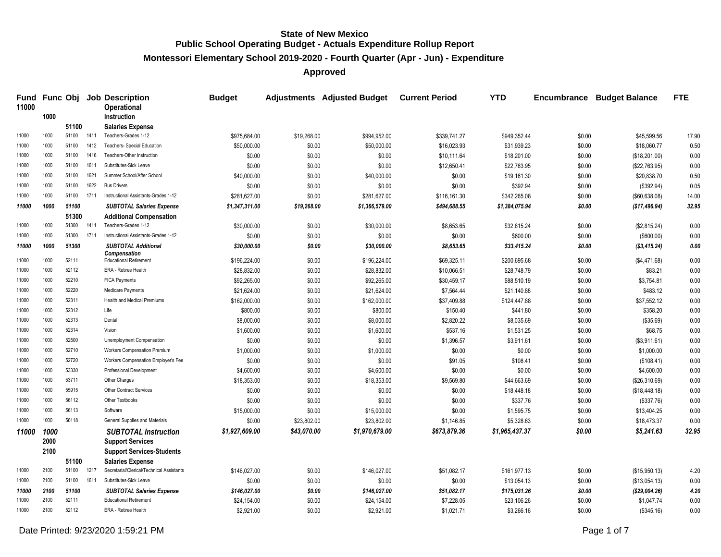**Montessori Elementary School 2019-2020 - Fourth Quarter (Apr - Jun) - Expenditure**

**Approved**

| 11000 |      |       |      | Fund Func Obj Job Description<br><b>Operational</b> | <b>Budget</b>  |             | <b>Adjustments</b> Adjusted Budget | <b>Current Period</b> | <b>YTD</b>     | Encumbrance | <b>Budget Balance</b> | <b>FTE</b> |
|-------|------|-------|------|-----------------------------------------------------|----------------|-------------|------------------------------------|-----------------------|----------------|-------------|-----------------------|------------|
|       | 1000 |       |      | <b>Instruction</b>                                  |                |             |                                    |                       |                |             |                       |            |
|       |      | 51100 |      | <b>Salaries Expense</b>                             |                |             |                                    |                       |                |             |                       |            |
| 11000 | 1000 | 51100 | 1411 | Teachers-Grades 1-12                                | \$975,684.00   | \$19,268.00 | \$994,952.00                       | \$339,741.27          | \$949,352.44   | \$0.00      | \$45,599.56           | 17.90      |
| 11000 | 1000 | 51100 | 1412 | <b>Teachers- Special Education</b>                  | \$50,000.00    | \$0.00      | \$50,000.00                        | \$16,023.93           | \$31,939.23    | \$0.00      | \$18,060.77           | 0.50       |
| 11000 | 1000 | 51100 | 1416 | Teachers-Other Instruction                          | \$0.00         | \$0.00      | \$0.00                             | \$10,111.64           | \$18,201.00    | \$0.00      | (\$18,201.00)         | 0.00       |
| 11000 | 1000 | 51100 | 1611 | Substitutes-Sick Leave                              | \$0.00         | \$0.00      | \$0.00                             | \$12,650.41           | \$22,763.95    | \$0.00      | (\$22,763.95)         | 0.00       |
| 11000 | 1000 | 51100 | 1621 | Summer School/After School                          | \$40,000.00    | \$0.00      | \$40,000.00                        | \$0.00                | \$19,161.30    | \$0.00      | \$20,838.70           | 0.50       |
| 11000 | 1000 | 51100 | 1622 | <b>Bus Drivers</b>                                  | \$0.00         | \$0.00      | \$0.00                             | \$0.00                | \$392.94       | \$0.00      | (\$392.94)            | 0.05       |
| 11000 | 1000 | 51100 | 1711 | Instructional Assistants-Grades 1-12                | \$281,627.00   | \$0.00      | \$281,627.00                       | \$116,161.30          | \$342,265.08   | \$0.00      | (\$60,638.08)         | 14.00      |
| 11000 | 1000 | 51100 |      | <b>SUBTOTAL Salaries Expense</b>                    | \$1,347,311.00 | \$19,268.00 | \$1,366,579.00                     | \$494,688.55          | \$1,384,075.94 | \$0.00      | (\$17,496.94)         | 32.95      |
|       |      | 51300 |      | <b>Additional Compensation</b>                      |                |             |                                    |                       |                |             |                       |            |
| 11000 | 1000 | 51300 | 1411 | Teachers-Grades 1-12                                | \$30,000.00    | \$0.00      | \$30,000.00                        | \$8,653.65            | \$32,815.24    | \$0.00      | (\$2,815.24)          | 0.00       |
| 11000 | 1000 | 51300 | 1711 | Instructional Assistants-Grades 1-12                | \$0.00         | \$0.00      | \$0.00                             | \$0.00                | \$600.00       | \$0.00      | (\$600.00)            | 0.00       |
| 11000 | 1000 | 51300 |      | <b>SUBTOTAL Additional</b><br>Compensation          | \$30,000.00    | \$0.00      | \$30,000.00                        | \$8,653.65            | \$33,415.24    | \$0.00      | (\$3,415.24)          | 0.00       |
| 11000 | 1000 | 52111 |      | <b>Educational Retirement</b>                       | \$196,224.00   | \$0.00      | \$196,224.00                       | \$69,325.11           | \$200,695.68   | \$0.00      | (\$4,471.68)          | 0.00       |
| 11000 | 1000 | 52112 |      | ERA - Retiree Health                                | \$28,832.00    | \$0.00      | \$28,832.00                        | \$10,066.51           | \$28,748.79    | \$0.00      | \$83.21               | 0.00       |
| 11000 | 1000 | 52210 |      | <b>FICA Payments</b>                                | \$92,265.00    | \$0.00      | \$92,265.00                        | \$30,459.17           | \$88,510.19    | \$0.00      | \$3,754.81            | 0.00       |
| 11000 | 1000 | 52220 |      | Medicare Payments                                   | \$21,624.00    | \$0.00      | \$21,624.00                        | \$7,564.44            | \$21,140.88    | \$0.00      | \$483.12              | 0.00       |
| 11000 | 1000 | 52311 |      | <b>Health and Medical Premiums</b>                  | \$162,000.00   | \$0.00      | \$162,000.00                       | \$37,409.88           | \$124,447.88   | \$0.00      | \$37,552.12           | 0.00       |
| 11000 | 1000 | 52312 |      | Life                                                | \$800.00       | \$0.00      | \$800.00                           | \$150.40              | \$441.80       | \$0.00      | \$358.20              | 0.00       |
| 11000 | 1000 | 52313 |      | Dental                                              | \$8,000.00     | \$0.00      | \$8,000.00                         | \$2,820.22            | \$8,035.69     | \$0.00      | (\$35.69)             | 0.00       |
| 11000 | 1000 | 52314 |      | Vision                                              | \$1,600.00     | \$0.00      | \$1,600.00                         | \$537.16              | \$1,531.25     | \$0.00      | \$68.75               | 0.00       |
| 11000 | 1000 | 52500 |      | Unemployment Compensation                           | \$0.00         | \$0.00      | \$0.00                             | \$1,396.57            | \$3,911.61     | \$0.00      | (\$3,911.61)          | 0.00       |
| 11000 | 1000 | 52710 |      | Workers Compensation Premium                        | \$1,000.00     | \$0.00      | \$1,000.00                         | \$0.00                | \$0.00         | \$0.00      | \$1,000.00            | 0.00       |
| 11000 | 1000 | 52720 |      | Workers Compensation Employer's Fee                 | \$0.00         | \$0.00      | \$0.00                             | \$91.05               | \$108.41       | \$0.00      | (\$108.41)            | 0.00       |
| 11000 | 1000 | 53330 |      | Professional Development                            | \$4,600.00     | \$0.00      | \$4,600.00                         | \$0.00                | \$0.00         | \$0.00      | \$4,600.00            | 0.00       |
| 11000 | 1000 | 53711 |      | Other Charges                                       | \$18,353.00    | \$0.00      | \$18,353.00                        | \$9,569.80            | \$44,663.69    | \$0.00      | (\$26,310.69)         | 0.00       |
| 11000 | 1000 | 55915 |      | <b>Other Contract Services</b>                      | \$0.00         | \$0.00      | \$0.00                             | \$0.00                | \$18,448.18    | \$0.00      | (\$18,448.18)         | 0.00       |
| 11000 | 1000 | 56112 |      | Other Textbooks                                     | \$0.00         | \$0.00      | \$0.00                             | \$0.00                | \$337.76       | \$0.00      | (\$337.76)            | 0.00       |
| 11000 | 1000 | 56113 |      | Software                                            | \$15,000.00    | \$0.00      | \$15,000.00                        | \$0.00                | \$1,595.75     | \$0.00      | \$13,404.25           | 0.00       |
| 11000 | 1000 | 56118 |      | General Supplies and Materials                      | \$0.00         | \$23,802.00 | \$23,802.00                        | \$1,146.85            | \$5,328.63     | \$0.00      | \$18,473.37           | 0.00       |
| 11000 | 1000 |       |      | <b>SUBTOTAL Instruction</b>                         | \$1,927,609.00 | \$43,070.00 | \$1,970,679.00                     | \$673,879.36          | \$1,965,437.37 | \$0.00      | \$5,241.63            | 32.95      |
|       | 2000 |       |      | <b>Support Services</b>                             |                |             |                                    |                       |                |             |                       |            |
|       | 2100 |       |      | <b>Support Services-Students</b>                    |                |             |                                    |                       |                |             |                       |            |
|       |      | 51100 |      | <b>Salaries Expense</b>                             |                |             |                                    |                       |                |             |                       |            |
| 11000 | 2100 | 51100 | 1217 | Secretarial/Clerical/Technical Assistants           | \$146,027.00   | \$0.00      | \$146,027.00                       | \$51,082.17           | \$161,977.13   | \$0.00      | (\$15,950.13)         | 4.20       |
| 11000 | 2100 | 51100 | 1611 | Substitutes-Sick Leave                              | \$0.00         | \$0.00      | \$0.00                             | \$0.00                | \$13,054.13    | \$0.00      | (\$13,054.13)         | 0.00       |
| 11000 | 2100 | 51100 |      | <b>SUBTOTAL Salaries Expense</b>                    | \$146,027.00   | \$0.00      | \$146,027.00                       | \$51,082.17           | \$175,031.26   | \$0.00      | (\$29,004.26)         | 4.20       |
| 11000 | 2100 | 52111 |      | <b>Educational Retirement</b>                       | \$24,154.00    | \$0.00      | \$24,154.00                        | \$7,228.05            | \$23,106.26    | \$0.00      | \$1,047.74            | 0.00       |
| 11000 | 2100 | 52112 |      | ERA - Retiree Health                                | \$2,921.00     | \$0.00      | \$2,921.00                         | \$1,021.71            | \$3,266.16     | \$0.00      | (\$345.16)            | 0.00       |

Date Printed: 9/23/2020 1:59:21 PM Page 1 of 7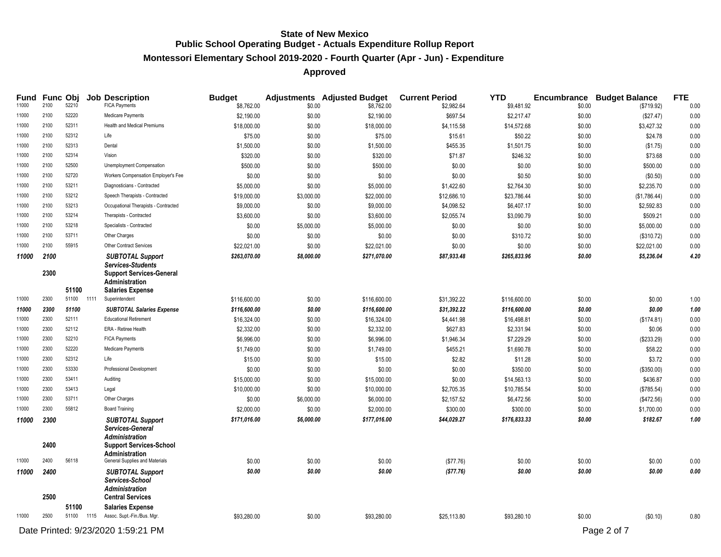# **Montessori Elementary School 2019-2020 - Fourth Quarter (Apr - Jun) - Expenditure**

| Fund  |      | Func Obj |      | <b>Job Description</b>                                  | <b>Budget</b> |            | <b>Adjustments</b> Adjusted Budget | <b>Current Period</b> | <b>YTD</b>   |        | <b>Encumbrance Budget Balance</b> | <b>FTE</b> |
|-------|------|----------|------|---------------------------------------------------------|---------------|------------|------------------------------------|-----------------------|--------------|--------|-----------------------------------|------------|
| 11000 | 2100 | 52210    |      | <b>FICA Payments</b>                                    | \$8,762.00    | \$0.00     | \$8,762.00                         | \$2,982.64            | \$9,481.92   | \$0.00 | (\$719.92)                        | 0.00       |
| 11000 | 2100 | 52220    |      | Medicare Payments                                       | \$2,190.00    | \$0.00     | \$2,190.00                         | \$697.54              | \$2,217.47   | \$0.00 | (\$27.47)                         | 0.00       |
| 11000 | 2100 | 52311    |      | <b>Health and Medical Premiums</b>                      | \$18,000.00   | \$0.00     | \$18,000.00                        | \$4,115.58            | \$14,572.68  | \$0.00 | \$3,427.32                        | 0.00       |
| 11000 | 2100 | 52312    |      | Life                                                    | \$75.00       | \$0.00     | \$75.00                            | \$15.61               | \$50.22      | \$0.00 | \$24.78                           | 0.00       |
| 11000 | 2100 | 52313    |      | Dental                                                  | \$1,500.00    | \$0.00     | \$1,500.00                         | \$455.35              | \$1,501.75   | \$0.00 | (\$1.75)                          | 0.00       |
| 11000 | 2100 | 52314    |      | Vision                                                  | \$320.00      | \$0.00     | \$320.00                           | \$71.87               | \$246.32     | \$0.00 | \$73.68                           | 0.00       |
| 11000 | 2100 | 52500    |      | Unemployment Compensation                               | \$500.00      | \$0.00     | \$500.00                           | \$0.00                | \$0.00       | \$0.00 | \$500.00                          | 0.00       |
| 11000 | 2100 | 52720    |      | Workers Compensation Employer's Fee                     | \$0.00        | \$0.00     | \$0.00                             | \$0.00                | \$0.50       | \$0.00 | (\$0.50)                          | 0.00       |
| 11000 | 2100 | 53211    |      | Diagnosticians - Contracted                             | \$5,000.00    | \$0.00     | \$5,000.00                         | \$1,422.60            | \$2,764.30   | \$0.00 | \$2,235.70                        | 0.00       |
| 11000 | 2100 | 53212    |      | Speech Therapists - Contracted                          | \$19,000.00   | \$3,000.00 | \$22,000.00                        | \$12,686.10           | \$23,786.44  | \$0.00 | (\$1,786.44)                      | 0.00       |
| 11000 | 2100 | 53213    |      | Occupational Therapists - Contracted                    | \$9,000.00    | \$0.00     | \$9,000.00                         | \$4,098.52            | \$6,407.17   | \$0.00 | \$2,592.83                        | 0.00       |
| 11000 | 2100 | 53214    |      | Therapists - Contracted                                 | \$3,600.00    | \$0.00     | \$3,600.00                         | \$2,055.74            | \$3,090.79   | \$0.00 | \$509.21                          | 0.00       |
| 11000 | 2100 | 53218    |      | Specialists - Contracted                                | \$0.00        | \$5,000.00 | \$5,000.00                         | \$0.00                | \$0.00       | \$0.00 | \$5,000.00                        | 0.00       |
| 11000 | 2100 | 53711    |      | Other Charges                                           | \$0.00        | \$0.00     | \$0.00                             | \$0.00                | \$310.72     | \$0.00 | (\$310.72)                        | 0.00       |
| 11000 | 2100 | 55915    |      | Other Contract Services                                 | \$22,021.00   | \$0.00     | \$22,021.00                        | \$0.00                | \$0.00       | \$0.00 | \$22,021.00                       | 0.00       |
| 11000 | 2100 |          |      | <b>SUBTOTAL Support</b>                                 | \$263,070.00  | \$8,000.00 | \$271.070.00                       | \$87,933.48           | \$265,833.96 | \$0.00 | \$5,236.04                        | 4.20       |
|       | 2300 |          |      | Services-Students<br><b>Support Services-General</b>    |               |            |                                    |                       |              |        |                                   |            |
|       |      |          |      | <b>Administration</b>                                   |               |            |                                    |                       |              |        |                                   |            |
|       |      | 51100    |      | <b>Salaries Expense</b>                                 |               |            |                                    |                       |              |        |                                   |            |
| 11000 | 2300 | 51100    | 1111 | Superintendent                                          | \$116,600.00  | \$0.00     | \$116,600.00                       | \$31,392.22           | \$116,600.00 | \$0.00 | \$0.00                            | 1.00       |
| 11000 | 2300 | 51100    |      | <b>SUBTOTAL Salaries Expense</b>                        | \$116,600.00  | \$0.00     | \$116,600.00                       | \$31,392.22           | \$116,600.00 | \$0.00 | \$0.00                            | 1.00       |
| 11000 | 2300 | 52111    |      | <b>Educational Retirement</b>                           | \$16,324.00   | \$0.00     | \$16,324.00                        | \$4,441.98            | \$16,498.81  | \$0.00 | (\$174.81)                        | 0.00       |
| 11000 | 2300 | 52112    |      | ERA - Retiree Health                                    | \$2,332.00    | \$0.00     | \$2,332.00                         | \$627.83              | \$2,331.94   | \$0.00 | \$0.06                            | 0.00       |
| 11000 | 2300 | 52210    |      | <b>FICA Payments</b>                                    | \$6,996.00    | \$0.00     | \$6,996.00                         | \$1,946.34            | \$7,229.29   | \$0.00 | (\$233.29)                        | 0.00       |
| 11000 | 2300 | 52220    |      | Medicare Payments                                       | \$1,749.00    | \$0.00     | \$1,749.00                         | \$455.21              | \$1,690.78   | \$0.00 | \$58.22                           | 0.00       |
| 11000 | 2300 | 52312    |      | Life                                                    | \$15.00       | \$0.00     | \$15.00                            | \$2.82                | \$11.28      | \$0.00 | \$3.72                            | 0.00       |
| 11000 | 2300 | 53330    |      | <b>Professional Development</b>                         | \$0.00        | \$0.00     | \$0.00                             | \$0.00                | \$350.00     | \$0.00 | (\$350.00)                        | 0.00       |
| 11000 | 2300 | 53411    |      | Auditing                                                | \$15,000.00   | \$0.00     | \$15,000.00                        | \$0.00                | \$14,563.13  | \$0.00 | \$436.87                          | 0.00       |
| 11000 | 2300 | 53413    |      | Legal                                                   | \$10,000.00   | \$0.00     | \$10,000.00                        | \$2,705.35            | \$10,785.54  | \$0.00 | (\$785.54)                        | 0.00       |
| 11000 | 2300 | 53711    |      | Other Charges                                           | \$0.00        | \$6,000.00 | \$6,000.00                         | \$2,157.52            | \$6,472.56   | \$0.00 | (\$472.56)                        | 0.00       |
| 11000 | 2300 | 55812    |      | <b>Board Training</b>                                   | \$2,000.00    | \$0.00     | \$2,000.00                         | \$300.00              | \$300.00     | \$0.00 | \$1,700.00                        | 0.00       |
| 11000 | 2300 |          |      | <b>SUBTOTAL Support</b>                                 | \$171,016.00  | \$6,000.00 | \$177,016.00                       | \$44,029.27           | \$176,833.33 | \$0.00 | \$182.67                          | 1.00       |
|       |      |          |      | Services-General                                        |               |            |                                    |                       |              |        |                                   |            |
|       | 2400 |          |      | Administration                                          |               |            |                                    |                       |              |        |                                   |            |
|       |      |          |      | <b>Support Services-School</b><br><b>Administration</b> |               |            |                                    |                       |              |        |                                   |            |
| 11000 | 2400 | 56118    |      | General Supplies and Materials                          | \$0.00        | \$0.00     | \$0.00                             | (\$77.76)             | \$0.00       | \$0.00 | \$0.00                            | 0.00       |
| 11000 | 2400 |          |      | <b>SUBTOTAL Support</b>                                 | \$0.00        | \$0.00     | \$0.00                             | (\$77.76)             | \$0.00       | \$0.00 | \$0.00                            | 0.00       |
|       |      |          |      | Services-School                                         |               |            |                                    |                       |              |        |                                   |            |
|       |      |          |      | Administration                                          |               |            |                                    |                       |              |        |                                   |            |
|       | 2500 |          |      | <b>Central Services</b>                                 |               |            |                                    |                       |              |        |                                   |            |
|       |      | 51100    |      | <b>Salaries Expense</b>                                 |               |            |                                    |                       |              |        |                                   |            |
| 11000 | 2500 |          |      | 51100 1115 Assoc. Supt.-Fin./Bus. Mgr.                  | \$93,280.00   | \$0.00     | \$93,280.00                        | \$25,113.80           | \$93,280.10  | \$0.00 | (\$0.10)                          | 0.80       |
|       |      |          |      | Date Printed: 9/23/2020 1:59:21 PM                      |               |            |                                    |                       |              |        | Page 2 of 7                       |            |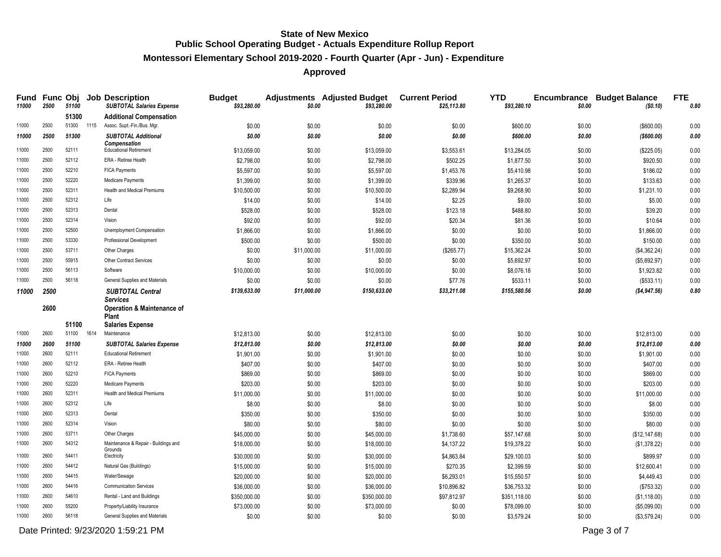# **Montessori Elementary School 2019-2020 - Fourth Quarter (Apr - Jun) - Expenditure**

# **Approved**

| Fund<br>11000  | 2500         | 51100          |      | <b>Func Obj Job Description</b><br><b>SUBTOTAL Salaries Expense</b> | <b>Budget</b><br>\$93,280.00 | \$0.00           | <b>Adjustments Adjusted Budget</b><br>\$93,280.00 | <b>Current Period</b><br>\$25,113.80 | <b>YTD</b><br>\$93,280.10 | \$0.00           | <b>Encumbrance Budget Balance</b><br>(\$0.10) | <b>FTE</b><br>0.80 |
|----------------|--------------|----------------|------|---------------------------------------------------------------------|------------------------------|------------------|---------------------------------------------------|--------------------------------------|---------------------------|------------------|-----------------------------------------------|--------------------|
|                |              | 51300          |      | <b>Additional Compensation</b>                                      |                              |                  |                                                   |                                      |                           |                  |                                               |                    |
| 11000          | 2500         | 51300 1115     |      | Assoc. Supt.-Fin./Bus. Mgr.                                         | \$0.00                       | \$0.00           | \$0.00                                            | \$0.00                               | \$600.00                  | \$0.00           | (\$600.00)                                    | 0.00               |
| 11000          | 2500         | 51300          |      | <b>SUBTOTAL Additional</b>                                          | \$0.00                       | \$0.00           | \$0.00                                            | \$0.00                               | \$600.00                  | \$0.00           | ( \$600.00)                                   | 0.00               |
| 11000          | 2500         | 52111          |      | <b>Compensation</b><br><b>Educational Retirement</b>                | \$13,059.00                  | \$0.00           | \$13,059.00                                       | \$3,553.61                           | \$13,284.05               | \$0.00           | (\$225.05)                                    | 0.00               |
| 11000          | 2500         | 52112          |      | ERA - Retiree Health                                                | \$2,798.00                   | \$0.00           | \$2,798.00                                        | \$502.25                             | \$1,877.50                | \$0.00           | \$920.50                                      | 0.00               |
| 11000          | 2500         | 52210          |      | <b>FICA Payments</b>                                                | \$5,597.00                   | \$0.00           | \$5,597.00                                        | \$1,453.76                           | \$5,410.98                | \$0.00           | \$186.02                                      | 0.00               |
| 11000          | 2500         | 52220          |      | Medicare Payments                                                   | \$1,399.00                   | \$0.00           | \$1,399.00                                        | \$339.96                             | \$1,265.37                | \$0.00           | \$133.63                                      | 0.00               |
| 11000          | 2500         | 52311          |      | <b>Health and Medical Premiums</b>                                  | \$10,500.00                  | \$0.00           | \$10,500.00                                       | \$2,289.94                           | \$9,268.90                | \$0.00           | \$1,231.10                                    | 0.00               |
| 11000          | 2500         | 52312          |      | Life                                                                | \$14.00                      | \$0.00           | \$14.00                                           | \$2.25                               | \$9.00                    | \$0.00           | \$5.00                                        | 0.00               |
| 11000          | 2500         | 52313          |      | Dental                                                              | \$528.00                     | \$0.00           | \$528.00                                          | \$123.18                             | \$488.80                  | \$0.00           | \$39.20                                       | 0.00               |
| 11000          | 2500         | 52314          |      | Vision                                                              | \$92.00                      | \$0.00           | \$92.00                                           | \$20.34                              | \$81.36                   | \$0.00           | \$10.64                                       | 0.00               |
| 11000          | 2500         | 52500          |      | Unemployment Compensation                                           | \$1,866.00                   | \$0.00           | \$1,866.00                                        | \$0.00                               | \$0.00                    | \$0.00           | \$1,866.00                                    | 0.00               |
| 11000          | 2500         | 53330          |      | Professional Development                                            | \$500.00                     | \$0.00           | \$500.00                                          | \$0.00                               | \$350.00                  | \$0.00           | \$150.00                                      | 0.00               |
| 11000          | 2500         | 53711          |      | Other Charges                                                       | \$0.00                       | \$11,000.00      | \$11,000.00                                       | (\$265.77)                           | \$15,362.24               | \$0.00           | (\$4,362.24)                                  | 0.00               |
| 11000          | 2500         | 55915          |      | <b>Other Contract Services</b>                                      | \$0.00                       | \$0.00           | \$0.00                                            | \$0.00                               | \$5,692.97                | \$0.00           | (\$5,692.97)                                  | 0.00               |
| 11000          | 2500         | 56113          |      | Software                                                            | \$10,000.00                  | \$0.00           | \$10,000.00                                       | \$0.00                               | \$8,076.18                | \$0.00           | \$1,923.82                                    | $0.00\,$           |
| 11000          | 2500         | 56118          |      | General Supplies and Materials                                      | \$0.00                       | \$0.00           | \$0.00                                            | \$77.76                              | \$533.11                  | \$0.00           | (\$533.11)                                    | 0.00               |
| 11000          | 2500         |                |      | <b>SUBTOTAL Central</b>                                             | \$139,633.00                 | \$11,000.00      | \$150,633.00                                      | \$33,211.08                          | \$155,580.56              | \$0.00           | ( \$4, 947.56)                                | 0.80               |
|                | 2600         |                |      | Services<br><b>Operation &amp; Maintenance of</b><br><b>Plant</b>   |                              |                  |                                                   |                                      |                           |                  |                                               |                    |
| 11000          | 2600         | 51100<br>51100 | 1614 | <b>Salaries Expense</b><br>Maintenance                              |                              |                  |                                                   |                                      |                           |                  |                                               |                    |
|                |              |                |      |                                                                     | \$12,813.00                  | \$0.00           | \$12,813.00                                       | \$0.00                               | \$0.00                    | \$0.00           | \$12,813.00                                   | 0.00               |
| 11000<br>11000 | 2600<br>2600 | 51100<br>52111 |      | <b>SUBTOTAL Salaries Expense</b><br><b>Educational Retirement</b>   | \$12,813.00                  | \$0.00           | \$12,813.00                                       | \$0.00                               | \$0.00                    | \$0.00           | \$12,813.00                                   | 0.00               |
| 11000          | 2600         | 52112          |      | ERA - Retiree Health                                                | \$1,901.00<br>\$407.00       | \$0.00           | \$1,901.00                                        | \$0.00                               | \$0.00                    | \$0.00           | \$1,901.00<br>\$407.00                        | 0.00<br>0.00       |
| 11000          | 2600         | 52210          |      | <b>FICA Payments</b>                                                | \$869.00                     | \$0.00           | \$407.00<br>\$869.00                              | \$0.00                               | \$0.00                    | \$0.00           |                                               | 0.00               |
| 11000          | 2600         | 52220          |      | Medicare Payments                                                   |                              | \$0.00           |                                                   | \$0.00                               | \$0.00                    | \$0.00           | \$869.00                                      |                    |
| 11000          | 2600         | 52311          |      | <b>Health and Medical Premiums</b>                                  | \$203.00<br>\$11,000.00      | \$0.00<br>\$0.00 | \$203.00<br>\$11,000.00                           | \$0.00<br>\$0.00                     | \$0.00<br>\$0.00          | \$0.00<br>\$0.00 | \$203.00<br>\$11,000.00                       | 0.00<br>0.00       |
| 11000          | 2600         | 52312          |      | Life                                                                | \$8.00                       | \$0.00           | \$8.00                                            | \$0.00                               | \$0.00                    | \$0.00           | \$8.00                                        | 0.00               |
| 11000          | 2600         | 52313          |      | Dental                                                              | \$350.00                     | \$0.00           | \$350.00                                          | \$0.00                               | \$0.00                    | \$0.00           | \$350.00                                      | 0.00               |
| 11000          | 2600         | 52314          |      | Vision                                                              | \$80.00                      | \$0.00           | \$80.00                                           | \$0.00                               | \$0.00                    | \$0.00           | \$80.00                                       | 0.00               |
| 11000          | 2600         | 53711          |      | Other Charges                                                       | \$45,000.00                  | \$0.00           | \$45,000.00                                       | \$1,738.60                           | \$57,147.68               | \$0.00           | (\$12, 147.68)                                | 0.00               |
| 11000          | 2600         | 54312          |      | Maintenance & Repair - Buildings and                                | \$18,000.00                  | \$0.00           | \$18,000.00                                       | \$4,137.22                           | \$19,378.22               | \$0.00           | (\$1,378.22)                                  | 0.00               |
|                |              |                |      | Grounds                                                             |                              |                  |                                                   |                                      |                           |                  |                                               |                    |
| 11000          | 2600         | 54411          |      | Electricity                                                         | \$30,000.00                  | \$0.00           | \$30,000.00                                       | \$4,863.84                           | \$29,100.03               | \$0.00           | \$899.97                                      | 0.00               |
| 11000          | 2600         | 54412          |      | Natural Gas (Buildings)                                             | \$15,000.00                  | \$0.00           | \$15,000.00                                       | \$270.35                             | \$2,399.59                | \$0.00           | \$12,600.41                                   | 0.00               |
| 11000          | 2600         | 54415          |      | Water/Sewage                                                        | \$20,000.00                  | \$0.00           | \$20,000.00                                       | \$6,293.01                           | \$15,550.57               | \$0.00           | \$4,449.43                                    | 0.00               |
| 11000          | 2600         | 54416          |      | <b>Communication Services</b>                                       | \$36,000.00                  | \$0.00           | \$36,000.00                                       | \$10,896.82                          | \$36,753.32               | \$0.00           | (\$753.32)                                    | 0.00               |
| 11000          | 2600         | 54610          |      | Rental - Land and Buildings                                         | \$350,000.00                 | \$0.00           | \$350,000.00                                      | \$97,812.97                          | \$351,118.00              | \$0.00           | (\$1,118.00)                                  | 0.00               |
| 11000          | 2600         | 55200          |      | Property/Liability Insurance                                        | \$73,000.00                  | \$0.00           | \$73,000.00                                       | \$0.00                               | \$78,099.00               | \$0.00           | (\$5,099.00)                                  | 0.00               |
| 11000          | 2600         | 56118          |      | General Supplies and Materials                                      | \$0.00                       | \$0.00           | \$0.00                                            | \$0.00                               | \$3,579.24                | \$0.00           | (\$3,579.24)                                  | 0.00               |

Date Printed:  $9/23/2020$  1:59:21 PM Page 3 of 7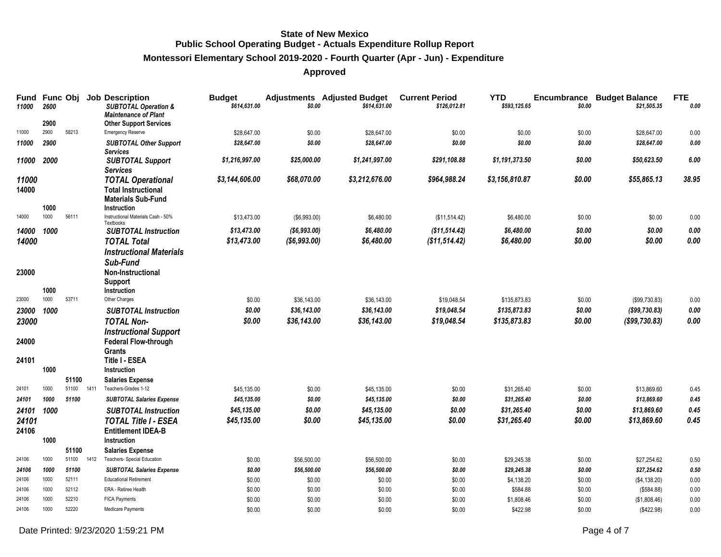# **Montessori Elementary School 2019-2020 - Fourth Quarter (Apr - Jun) - Expenditure**

| Fund<br>11000 | 2600 | Func Obj |      | <b>Job Description</b><br><b>SUBTOTAL Operation &amp;</b> | <b>Budget</b><br>\$614,631.00 | \$0.00        | <b>Adjustments</b> Adjusted Budget<br>\$614,631.00 | <b>Current Period</b><br>\$126,012.81 | <b>YTD</b><br>\$593,125.65 | <b>Encumbrance</b><br>\$0.00 | <b>Budget Balance</b><br>\$21,505.35 | <b>FTE</b><br>0.00 |
|---------------|------|----------|------|-----------------------------------------------------------|-------------------------------|---------------|----------------------------------------------------|---------------------------------------|----------------------------|------------------------------|--------------------------------------|--------------------|
|               |      |          |      | <b>Maintenance of Plant</b>                               |                               |               |                                                    |                                       |                            |                              |                                      |                    |
|               | 2900 |          |      | <b>Other Support Services</b>                             |                               |               |                                                    |                                       |                            |                              |                                      |                    |
| 11000         | 2900 | 58213    |      | <b>Emergency Reserve</b>                                  | \$28,647.00                   | \$0.00        | \$28.647.00                                        | \$0.00                                | \$0.00                     | \$0.00                       | \$28,647.00                          | 0.00               |
| 11000         | 2900 |          |      | <b>SUBTOTAL Other Support</b>                             | \$28,647.00                   | \$0.00        | \$28,647.00                                        | \$0.00                                | \$0.00                     | \$0.00                       | \$28,647.00                          | 0.00               |
| 11000         | 2000 |          |      | <b>Services</b><br><b>SUBTOTAL Support</b>                | \$1,216,997.00                | \$25,000.00   | \$1,241,997.00                                     | \$291,108.88                          | \$1,191,373.50             | \$0.00                       | \$50,623.50                          | 6.00               |
|               |      |          |      | <b>Services</b>                                           |                               |               |                                                    |                                       |                            |                              |                                      |                    |
| 11000         |      |          |      | <b>TOTAL Operational</b>                                  | \$3,144,606.00                | \$68,070.00   | \$3,212,676.00                                     | \$964,988.24                          | \$3,156,810.87             | \$0.00                       | \$55,865.13                          | 38.95              |
| 14000         |      |          |      | <b>Total Instructional</b>                                |                               |               |                                                    |                                       |                            |                              |                                      |                    |
|               |      |          |      | <b>Materials Sub-Fund</b>                                 |                               |               |                                                    |                                       |                            |                              |                                      |                    |
|               | 1000 |          |      | Instruction                                               |                               |               |                                                    |                                       |                            |                              |                                      |                    |
| 14000         | 1000 | 56111    |      | Instructional Materials Cash - 50%<br>Textbooks           | \$13,473.00                   | (\$6,993.00)  | \$6,480.00                                         | (\$11,514.42)                         | \$6,480.00                 | \$0.00                       | \$0.00                               | 0.00               |
| 14000         | 1000 |          |      | <b>SUBTOTAL Instruction</b>                               | \$13,473.00                   | ( \$6,993.00) | \$6,480.00                                         | (\$11,514.42)                         | \$6,480.00                 | \$0.00                       | \$0.00                               | $0.00\,$           |
| 14000         |      |          |      | <b>TOTAL Total</b>                                        | \$13,473.00                   | ( \$6,993.00) | \$6,480.00                                         | (\$11,514.42)                         | \$6,480.00                 | \$0.00                       | \$0.00                               | 0.00               |
|               |      |          |      | <b>Instructional Materials</b>                            |                               |               |                                                    |                                       |                            |                              |                                      |                    |
|               |      |          |      | Sub-Fund                                                  |                               |               |                                                    |                                       |                            |                              |                                      |                    |
| 23000         |      |          |      | Non-Instructional                                         |                               |               |                                                    |                                       |                            |                              |                                      |                    |
|               |      |          |      | <b>Support</b>                                            |                               |               |                                                    |                                       |                            |                              |                                      |                    |
|               | 1000 |          |      | Instruction                                               |                               |               |                                                    |                                       |                            |                              |                                      |                    |
| 23000         | 1000 | 53711    |      | Other Charges                                             | \$0.00                        | \$36,143.00   | \$36,143.00                                        | \$19,048.54                           | \$135,873.83               | \$0.00                       | (\$99,730.83)                        | 0.00               |
| 23000         | 1000 |          |      | <b>SUBTOTAL Instruction</b>                               | \$0.00                        | \$36,143.00   | \$36,143.00                                        | \$19,048.54                           | \$135,873.83               | \$0.00                       | ( \$99, 730.83)                      | $0.00\,$           |
| 23000         |      |          |      | <b>TOTAL Non-</b>                                         | \$0.00                        | \$36,143.00   | \$36,143.00                                        | \$19,048.54                           | \$135,873.83               | \$0.00                       | $($ \$99,730.83 $)$                  | 0.00               |
|               |      |          |      | <b>Instructional Support</b>                              |                               |               |                                                    |                                       |                            |                              |                                      |                    |
| 24000         |      |          |      | <b>Federal Flow-through</b>                               |                               |               |                                                    |                                       |                            |                              |                                      |                    |
|               |      |          |      | Grants                                                    |                               |               |                                                    |                                       |                            |                              |                                      |                    |
| 24101         | 1000 |          |      | Title I - ESEA                                            |                               |               |                                                    |                                       |                            |                              |                                      |                    |
|               |      | 51100    |      | Instruction<br><b>Salaries Expense</b>                    |                               |               |                                                    |                                       |                            |                              |                                      |                    |
| 24101         | 1000 | 51100    | 1411 | Teachers-Grades 1-12                                      | \$45,135.00                   | \$0.00        | \$45,135.00                                        | \$0.00                                | \$31,265.40                | \$0.00                       | \$13,869.60                          | 0.45               |
| 24101         | 1000 | 51100    |      | <b>SUBTOTAL Salaries Expense</b>                          | \$45,135.00                   | \$0.00        | \$45,135.00                                        | \$0.00                                | \$31,265.40                | \$0.00                       | \$13,869.60                          | 0.45               |
| 24101         | 1000 |          |      | <b>SUBTOTAL Instruction</b>                               | \$45,135.00                   | \$0.00        | \$45,135.00                                        | \$0.00                                | \$31,265.40                | \$0.00                       | \$13,869.60                          | 0.45               |
| 24101         |      |          |      | <b>TOTAL Title I - ESEA</b>                               | \$45,135.00                   | \$0.00        | \$45,135.00                                        | \$0.00                                | \$31,265.40                | \$0.00                       | \$13,869.60                          | 0.45               |
| 24106         |      |          |      | <b>Entitlement IDEA-B</b>                                 |                               |               |                                                    |                                       |                            |                              |                                      |                    |
|               | 1000 |          |      | Instruction                                               |                               |               |                                                    |                                       |                            |                              |                                      |                    |
|               |      | 51100    |      | <b>Salaries Expense</b>                                   |                               |               |                                                    |                                       |                            |                              |                                      |                    |
| 24106         | 1000 | 51100    | 1412 | Teachers- Special Education                               | \$0.00                        | \$56,500.00   | \$56,500.00                                        | \$0.00                                | \$29,245.38                | \$0.00                       | \$27,254.62                          | 0.50               |
| 24106         | 1000 | 51100    |      | <b>SUBTOTAL Salaries Expense</b>                          | \$0.00                        | \$56,500.00   | \$56,500.00                                        | \$0.00                                | \$29,245.38                | \$0.00                       | \$27,254.62                          | 0.50               |
| 24106         | 1000 | 52111    |      | <b>Educational Retirement</b>                             | \$0.00                        | \$0.00        | \$0.00                                             | \$0.00                                | \$4,138.20                 | \$0.00                       | (\$4,138.20)                         | 0.00               |
| 24106         | 1000 | 52112    |      | ERA - Retiree Health                                      | \$0.00                        | \$0.00        | \$0.00                                             | \$0.00                                | \$584.88                   | \$0.00                       | (\$584.88)                           | 0.00               |
| 24106         | 1000 | 52210    |      | <b>FICA Payments</b>                                      | \$0.00                        | \$0.00        | \$0.00                                             | \$0.00                                | \$1,808.46                 | \$0.00                       | (\$1,808.46)                         | 0.00               |
| 24106         | 1000 | 52220    |      | Medicare Payments                                         | \$0.00                        | \$0.00        | \$0.00                                             | \$0.00                                | \$422.98                   | \$0.00                       | (\$422.98)                           | 0.00               |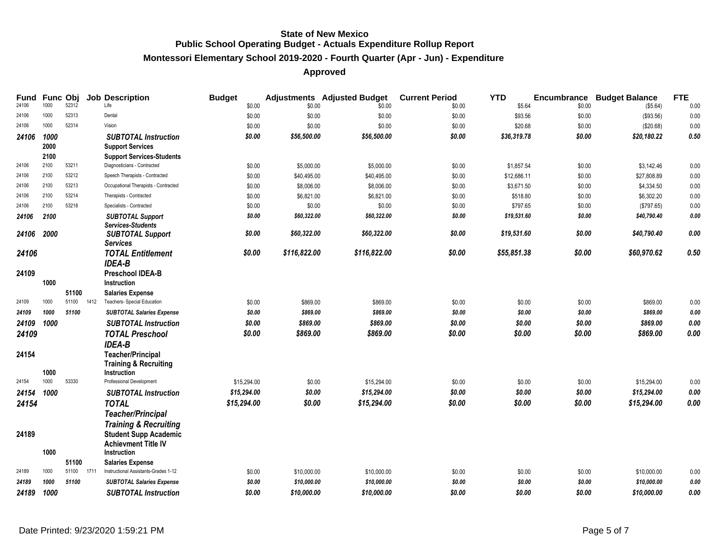# **Montessori Elementary School 2019-2020 - Fourth Quarter (Apr - Jun) - Expenditure**

| <b>Fund</b><br>24106 | Func Obj<br>1000 | 52312          |      | <b>Job Description</b><br>Life                                         | <b>Budget</b><br>\$0.00 | \$0.00                    | <b>Adjustments</b> Adjusted Budget<br>\$0.00 | <b>Current Period</b><br>\$0.00 | <b>YTD</b><br>\$5.64    | <b>Encumbrance</b><br>\$0.00 | <b>Budget Balance</b><br>(\$5.64) | <b>FTE</b><br>0.00 |
|----------------------|------------------|----------------|------|------------------------------------------------------------------------|-------------------------|---------------------------|----------------------------------------------|---------------------------------|-------------------------|------------------------------|-----------------------------------|--------------------|
| 24106                | 1000             | 52313          |      | Dental                                                                 | \$0.00                  | \$0.00                    | \$0.00                                       | \$0.00                          | \$93.56                 | \$0.00                       | (\$93.56)                         | 0.00               |
| 24106                | 1000             | 52314          |      | Vision                                                                 | \$0.00                  | \$0.00                    | \$0.00                                       | \$0.00                          | \$20.68                 | \$0.00                       | (\$20.68)                         | 0.00               |
| 24106                | 1000<br>2000     |                |      | <b>SUBTOTAL Instruction</b><br><b>Support Services</b>                 | \$0.00                  | \$56,500.00               | \$56,500.00                                  | \$0.00                          | \$36,319.78             | \$0.00                       | \$20,180.22                       | $0.50\,$           |
|                      | 2100<br>2100     |                |      | <b>Support Services-Students</b>                                       |                         |                           |                                              |                                 |                         |                              |                                   |                    |
| 24106<br>24106       | 2100             | 53211<br>53212 |      | Diagnosticians - Contracted                                            | \$0.00                  | \$5,000.00                | \$5,000.00                                   | \$0.00                          | \$1,857.54              | \$0.00                       | \$3,142.46                        | 0.00               |
| 24106                | 2100             | 53213          |      | Speech Therapists - Contracted<br>Occupational Therapists - Contracted | \$0.00                  | \$40,495.00<br>\$8,006.00 | \$40,495.00                                  | \$0.00                          | \$12,686.11             | \$0.00<br>\$0.00             | \$27,808.89<br>\$4,334.50         | 0.00<br>0.00       |
| 24106                | 2100             | 53214          |      | Therapists - Contracted                                                | \$0.00                  |                           | \$8,006.00                                   | \$0.00                          | \$3,671.50              |                              |                                   |                    |
| 24106                | 2100             | 53218          |      | Specialists - Contracted                                               | \$0.00                  | \$6,821.00                | \$6,821.00                                   | \$0.00                          | \$518.80                | \$0.00                       | \$6,302.20                        | 0.00               |
|                      |                  |                |      |                                                                        | \$0.00<br>\$0.00        | \$0.00<br>\$60,322.00     | \$0.00<br>\$60,322.00                        | \$0.00                          | \$797.65<br>\$19,531.60 | \$0.00                       | (\$797.65)<br>\$40,790.40         | 0.00               |
| 24106                | 2100             |                |      | <b>SUBTOTAL Support</b><br><b>Services-Students</b>                    |                         |                           |                                              | \$0.00                          |                         | \$0.00                       |                                   | 0.00               |
| 24106                | 2000             |                |      | <b>SUBTOTAL Support</b><br><b>Services</b>                             | \$0.00                  | \$60,322.00               | \$60,322.00                                  | \$0.00                          | \$19,531.60             | \$0.00                       | \$40,790.40                       | 0.00               |
| 24106                |                  |                |      | <b>TOTAL Entitlement</b><br><b>IDEA-B</b>                              | \$0.00                  | \$116,822.00              | \$116,822.00                                 | \$0.00                          | \$55,851.38             | \$0.00                       | \$60,970.62                       | 0.50               |
| 24109                | 1000             |                |      | <b>Preschool IDEA-B</b><br>Instruction                                 |                         |                           |                                              |                                 |                         |                              |                                   |                    |
|                      |                  | 51100          |      | <b>Salaries Expense</b>                                                |                         |                           |                                              |                                 |                         |                              |                                   |                    |
| 24109                | 1000             | 51100          | 1412 | Teachers- Special Education                                            | \$0.00                  | \$869.00                  | \$869.00                                     | \$0.00                          | \$0.00                  | \$0.00                       | \$869.00                          | 0.00               |
| 24109                | 1000             | 51100          |      | <b>SUBTOTAL Salaries Expense</b>                                       | \$0.00                  | \$869.00                  | \$869.00                                     | \$0.00                          | \$0.00                  | \$0.00                       | \$869.00                          | 0.00               |
| 24109                | 1000             |                |      | <b>SUBTOTAL Instruction</b>                                            | \$0.00                  | \$869.00                  | \$869.00                                     | \$0.00                          | \$0.00                  | \$0.00                       | \$869.00                          | 0.00               |
| 24109                |                  |                |      | <b>TOTAL Preschool</b>                                                 | \$0.00                  | \$869.00                  | \$869.00                                     | \$0.00                          | \$0.00                  | \$0.00                       | \$869.00                          | 0.00               |
|                      |                  |                |      | <b>IDEA-B</b>                                                          |                         |                           |                                              |                                 |                         |                              |                                   |                    |
| 24154                |                  |                |      | <b>Teacher/Principal</b><br><b>Training &amp; Recruiting</b>           |                         |                           |                                              |                                 |                         |                              |                                   |                    |
|                      | 1000<br>1000     |                |      | <b>Instruction</b>                                                     |                         |                           |                                              |                                 |                         |                              |                                   |                    |
| 24154                |                  | 53330          |      | Professional Development                                               | \$15,294.00             | \$0.00                    | \$15,294.00                                  | \$0.00                          | \$0.00                  | \$0.00                       | \$15,294.00                       | 0.00               |
| 24154                | 1000             |                |      | <b>SUBTOTAL Instruction</b>                                            | \$15,294.00             | \$0.00                    | \$15,294.00                                  | \$0.00                          | \$0.00                  | \$0.00                       | \$15,294.00                       | 0.00               |
| 24154                |                  |                |      | <b>TOTAL</b><br><b>Teacher/Principal</b>                               | \$15,294.00             | \$0.00                    | \$15,294.00                                  | \$0.00                          | \$0.00                  | \$0.00                       | \$15,294.00                       | 0.00               |
|                      |                  |                |      | <b>Training &amp; Recruiting</b>                                       |                         |                           |                                              |                                 |                         |                              |                                   |                    |
| 24189                |                  |                |      | <b>Student Supp Academic</b><br><b>Achievment Title IV</b>             |                         |                           |                                              |                                 |                         |                              |                                   |                    |
|                      | 1000             |                |      | <b>Instruction</b>                                                     |                         |                           |                                              |                                 |                         |                              |                                   |                    |
|                      |                  | 51100          |      | <b>Salaries Expense</b>                                                |                         |                           |                                              |                                 |                         |                              |                                   |                    |
| 24189                | 1000             | 51100          | 1711 | Instructional Assistants-Grades 1-12                                   | \$0.00                  | \$10,000.00               | \$10,000.00                                  | \$0.00                          | \$0.00                  | \$0.00                       | \$10,000.00                       | 0.00               |
| 24189                | 1000             | 51100          |      | <b>SUBTOTAL Salaries Expense</b>                                       | \$0.00                  | \$10,000.00               | \$10,000.00                                  | \$0.00                          | \$0.00                  | \$0.00                       | \$10,000.00                       | 0.00               |
| 24189                | 1000             |                |      | <b>SUBTOTAL Instruction</b>                                            | \$0.00                  | \$10,000.00               | \$10,000.00                                  | \$0.00                          | \$0.00                  | \$0.00                       | \$10,000.00                       | 0.00               |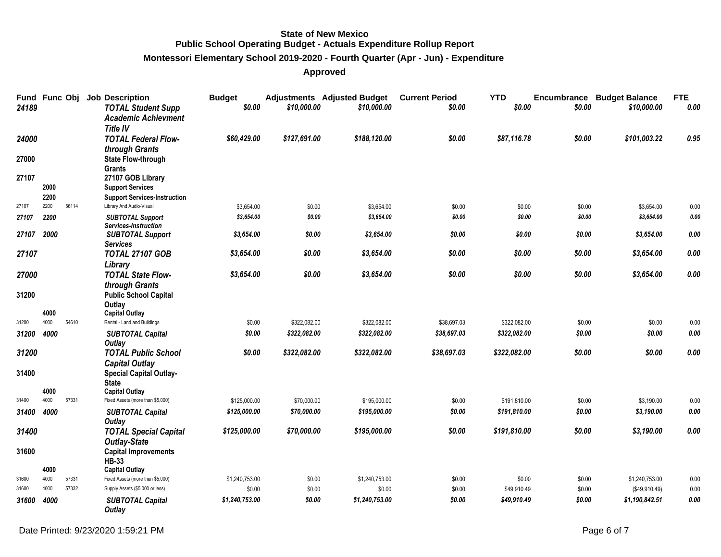# **Montessori Elementary School 2019-2020 - Fourth Quarter (Apr - Jun) - Expenditure**

| Fund Func Obj<br>24189 |              |       | <b>Job Description</b><br><b>TOTAL Student Supp</b><br><b>Academic Achievment</b><br><b>Title IV</b> | <b>Budget</b><br>\$0.00 | \$10,000.00  | <b>Adjustments</b> Adjusted Budget<br>\$10,000.00 | <b>Current Period</b><br>\$0.00 | <b>YTD</b><br>\$0.00 | \$0.00 | <b>Encumbrance Budget Balance</b><br>\$10,000,00 | <b>FTE</b><br>0.00 |
|------------------------|--------------|-------|------------------------------------------------------------------------------------------------------|-------------------------|--------------|---------------------------------------------------|---------------------------------|----------------------|--------|--------------------------------------------------|--------------------|
| 24000                  |              |       | <b>TOTAL Federal Flow-</b><br>through Grants                                                         | \$60,429.00             | \$127,691.00 | \$188.120.00                                      | \$0.00                          | \$87,116.78          | \$0.00 | \$101,003.22                                     | 0.95               |
| 27000                  |              |       | <b>State Flow-through</b><br><b>Grants</b>                                                           |                         |              |                                                   |                                 |                      |        |                                                  |                    |
| 27107                  |              |       | 27107 GOB Library                                                                                    |                         |              |                                                   |                                 |                      |        |                                                  |                    |
|                        | 2000         |       | <b>Support Services</b>                                                                              |                         |              |                                                   |                                 |                      |        |                                                  |                    |
|                        | 2200         |       | <b>Support Services-Instruction</b>                                                                  |                         |              |                                                   |                                 |                      |        |                                                  |                    |
| 27107                  | 2200         | 56114 | Library And Audio-Visual                                                                             | \$3,654.00              | \$0.00       | \$3,654.00                                        | \$0.00                          | \$0.00               | \$0.00 | \$3,654.00                                       | $0.00\,$           |
| 27107                  | 2200         |       | <b>SUBTOTAL Support</b><br>Services-Instruction                                                      | \$3,654.00              | \$0.00       | \$3,654.00                                        | \$0.00                          | \$0.00               | \$0.00 | \$3,654.00                                       | $\it{0.00}$        |
| 27107                  | 2000         |       | <b>SUBTOTAL Support</b><br><b>Services</b>                                                           | \$3,654.00              | \$0.00       | \$3,654.00                                        | \$0.00                          | \$0.00               | \$0.00 | \$3,654.00                                       | 0.00               |
| 27107                  |              |       | <b>TOTAL 27107 GOB</b>                                                                               | \$3,654.00              | \$0.00       | \$3,654.00                                        | \$0.00                          | \$0.00               | \$0.00 | \$3,654.00                                       | 0.00               |
| 27000                  |              |       | Library<br><b>TOTAL State Flow-</b>                                                                  | \$3,654.00              | \$0.00       | \$3,654.00                                        | \$0.00                          | \$0.00               | \$0.00 | \$3,654.00                                       | 0.00               |
| 31200                  | 4000         |       | through Grants<br><b>Public School Capital</b><br>Outlay<br><b>Capital Outlay</b>                    |                         |              |                                                   |                                 |                      |        |                                                  |                    |
| 31200                  | 4000         | 54610 | Rental - Land and Buildings                                                                          | \$0.00                  | \$322,082.00 | \$322,082.00                                      | \$38,697.03                     | \$322,082.00         | \$0.00 | \$0.00                                           | 0.00               |
| 31200                  | 4000         |       | <b>SUBTOTAL Capital</b>                                                                              | \$0.00                  | \$322,082.00 | \$322,082.00                                      | \$38,697.03                     | \$322,082.00         | \$0.00 | \$0.00                                           | 0.00               |
|                        |              |       | Outlay                                                                                               |                         |              |                                                   |                                 |                      |        |                                                  |                    |
| 31200                  |              |       | <b>TOTAL Public School</b><br><b>Capital Outlay</b>                                                  | \$0.00                  | \$322,082.00 | \$322,082.00                                      | \$38,697.03                     | \$322,082.00         | \$0.00 | \$0.00                                           | 0.00               |
| 31400                  |              |       | <b>Special Capital Outlay-</b><br><b>State</b>                                                       |                         |              |                                                   |                                 |                      |        |                                                  |                    |
|                        | 4000         |       | <b>Capital Outlay</b>                                                                                |                         |              |                                                   |                                 |                      |        |                                                  |                    |
| 31400                  | 4000         | 57331 | Fixed Assets (more than \$5,000)                                                                     | \$125,000.00            | \$70,000.00  | \$195,000.00                                      | \$0.00                          | \$191,810.00         | \$0.00 | \$3,190.00                                       | 0.00               |
| 31400                  | 4000         |       | <b>SUBTOTAL Capital</b><br>Outlay                                                                    | \$125,000.00            | \$70,000.00  | \$195,000.00                                      | \$0.00                          | \$191,810.00         | \$0.00 | \$3,190.00                                       | $0.00\,$           |
| 31400                  |              |       | <b>TOTAL Special Capital</b><br><b>Outlay-State</b>                                                  | \$125,000.00            | \$70,000.00  | \$195,000.00                                      | \$0.00                          | \$191,810.00         | \$0.00 | \$3,190.00                                       | 0.00               |
| 31600                  |              |       | <b>Capital Improvements</b><br><b>HB-33</b>                                                          |                         |              |                                                   |                                 |                      |        |                                                  |                    |
| 31600                  | 4000<br>4000 | 57331 | <b>Capital Outlay</b><br>Fixed Assets (more than \$5,000)                                            | \$1,240,753.00          | \$0.00       | \$1,240,753.00                                    | \$0.00                          | \$0.00               | \$0.00 | \$1,240,753.00                                   |                    |
| 31600                  | 4000         | 57332 | Supply Assets (\$5,000 or less)                                                                      | \$0.00                  | \$0.00       | \$0.00                                            | \$0.00                          | \$49,910.49          | \$0.00 | (\$49,910.49)                                    | 0.00<br>0.00       |
|                        | 4000         |       |                                                                                                      | \$1,240,753.00          | \$0.00       | \$1,240,753.00                                    | \$0.00                          | \$49,910.49          | \$0.00 | \$1,190,842.51                                   | 0.00               |
| 31600                  |              |       | <b>SUBTOTAL Capital</b><br>Outlay                                                                    |                         |              |                                                   |                                 |                      |        |                                                  |                    |